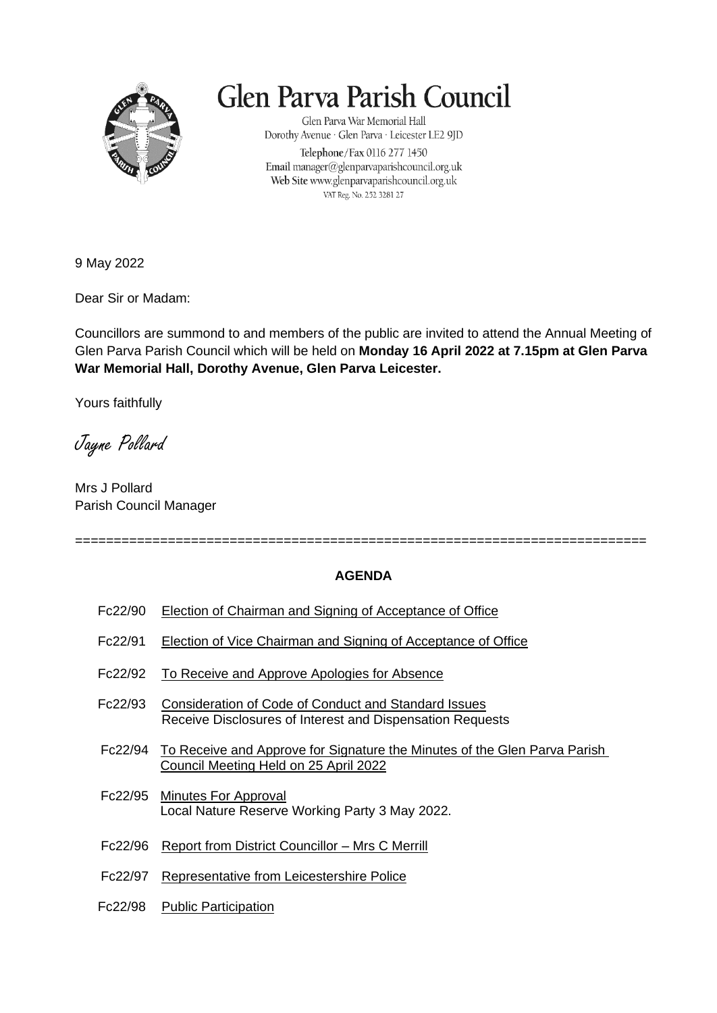

## Glen Parva Parish Council

Glen Parva War Memorial Hall Dorothy Avenue · Glen Parva · Leicester LE2 9JD Telephone/Fax 0116 277 1450 Email manager@glenparvaparishcouncil.org.uk Web Site www.glenparvaparishcouncil.org.uk VAT Reg. No. 252 3281 27

9 May 2022

Dear Sir or Madam:

Councillors are summond to and members of the public are invited to attend the Annual Meeting of Glen Parva Parish Council which will be held on **Monday 16 April 2022 at 7.15pm at Glen Parva War Memorial Hall, Dorothy Avenue, Glen Parva Leicester.**

Yours faithfully

Jayne Pollard

Mrs J Pollard Parish Council Manager

==========================================================================

## **AGENDA**

- Fc22/90 Election of Chairman and Signing of Acceptance of Office
- Fc22/91 Election of Vice Chairman and Signing of Acceptance of Office
- Fc22/92 To Receive and Approve Apologies for Absence
- Fc22/93 Consideration of Code of Conduct and Standard Issues Receive Disclosures of Interest and Dispensation Requests
- Fc22/94 To Receive and Approve for Signature the Minutes of the Glen Parva Parish Council Meeting Held on 25 April 2022
- Fc22/95 Minutes For Approval Local Nature Reserve Working Party 3 May 2022.
- Fc22/96 Report from District Councillor Mrs C Merrill
- Fc22/97 Representative from Leicestershire Police
- Fc22/98 Public Participation